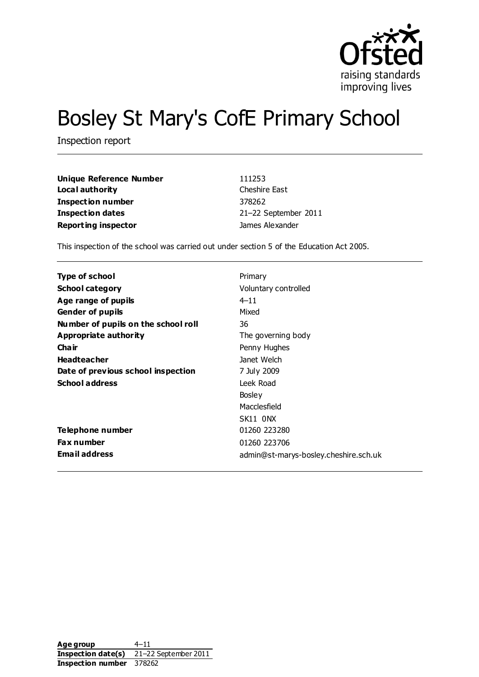

# Bosley St Mary's CofE Primary School

Inspection report

| Unique Reference Number    | 111253               |  |  |
|----------------------------|----------------------|--|--|
| Local authority            | Cheshire East        |  |  |
| <b>Inspection number</b>   | 378262               |  |  |
| Inspection dates           | 21-22 September 2011 |  |  |
| <b>Reporting inspector</b> | James Alexander      |  |  |

This inspection of the school was carried out under section 5 of the Education Act 2005.

| Type of school                      | Primary                               |
|-------------------------------------|---------------------------------------|
| <b>School category</b>              | Voluntary controlled                  |
| Age range of pupils                 | $4 - 11$                              |
| <b>Gender of pupils</b>             | Mixed                                 |
| Number of pupils on the school roll | 36                                    |
| Appropriate authority               | The governing body                    |
| Cha ir                              | Penny Hughes                          |
| <b>Headteacher</b>                  | Janet Welch                           |
| Date of previous school inspection  | 7 July 2009                           |
| <b>School address</b>               | Leek Road                             |
|                                     | Bosley                                |
|                                     | Macclesfield                          |
|                                     | SK11 ONX                              |
| Telephone number                    | 01260 223280                          |
| Fax number                          | 01260 223706                          |
| <b>Email address</b>                | admin@st-marys-bosley.cheshire.sch.uk |

Age group 4–11 **Inspection date(s)** 21–22 September 2011 **Inspection number** 378262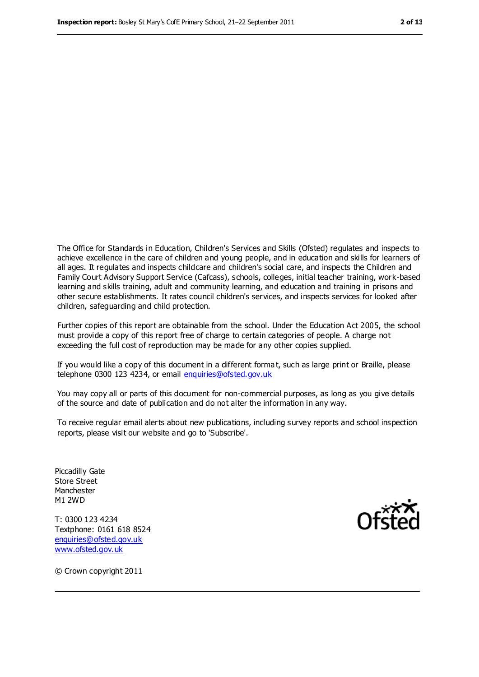The Office for Standards in Education, Children's Services and Skills (Ofsted) regulates and inspects to achieve excellence in the care of children and young people, and in education and skills for learners of all ages. It regulates and inspects childcare and children's social care, and inspects the Children and Family Court Advisory Support Service (Cafcass), schools, colleges, initial teacher training, work-based learning and skills training, adult and community learning, and education and training in prisons and other secure establishments. It rates council children's services, and inspects services for looked after children, safeguarding and child protection.

Further copies of this report are obtainable from the school. Under the Education Act 2005, the school must provide a copy of this report free of charge to certain categories of people. A charge not exceeding the full cost of reproduction may be made for any other copies supplied.

If you would like a copy of this document in a different forma t, such as large print or Braille, please telephone 0300 123 4234, or email [enquiries@ofsted.gov.uk](mailto:enquiries@ofsted.gov.uk)

You may copy all or parts of this document for non-commercial purposes, as long as you give details of the source and date of publication and do not alter the information in any way.

To receive regular email alerts about new publications, including survey reports and school inspection reports, please visit our website and go to 'Subscribe'.

Piccadilly Gate Store Street Manchester M1 2WD

T: 0300 123 4234 Textphone: 0161 618 8524 [enquiries@ofsted.gov.uk](mailto:enquiries@ofsted.gov.uk) [www.ofsted.gov.uk](http://www.ofsted.gov.uk/)



© Crown copyright 2011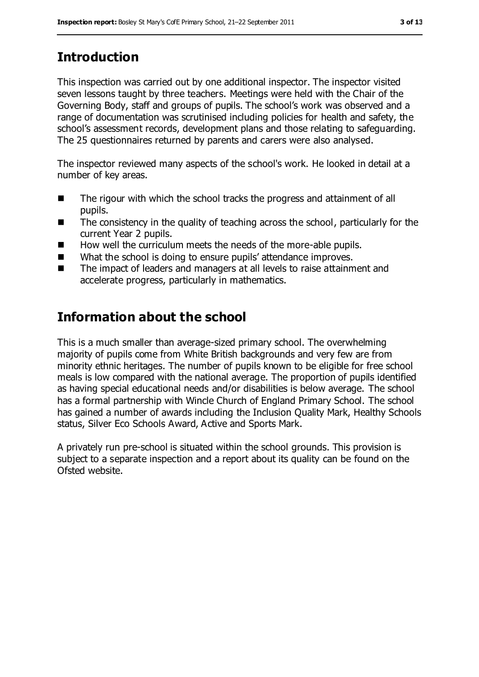# **Introduction**

This inspection was carried out by one additional inspector. The inspector visited seven lessons taught by three teachers. Meetings were held with the Chair of the Governing Body, staff and groups of pupils. The school's work was observed and a range of documentation was scrutinised including policies for health and safety, the school's assessment records, development plans and those relating to safeguarding. The 25 questionnaires returned by parents and carers were also analysed.

The inspector reviewed many aspects of the school's work. He looked in detail at a number of key areas.

- The rigour with which the school tracks the progress and attainment of all pupils.
- The consistency in the quality of teaching across the school, particularly for the current Year 2 pupils.
- $\blacksquare$  How well the curriculum meets the needs of the more-able pupils.
- What the school is doing to ensure pupils' attendance improves.
- The impact of leaders and managers at all levels to raise attainment and accelerate progress, particularly in mathematics.

# **Information about the school**

This is a much smaller than average-sized primary school. The overwhelming majority of pupils come from White British backgrounds and very few are from minority ethnic heritages. The number of pupils known to be eligible for free school meals is low compared with the national average. The proportion of pupils identified as having special educational needs and/or disabilities is below average. The school has a formal partnership with Wincle Church of England Primary School. The school has gained a number of awards including the Inclusion Quality Mark, Healthy Schools status, Silver Eco Schools Award, Active and Sports Mark.

A privately run pre-school is situated within the school grounds. This provision is subject to a separate inspection and a report about its quality can be found on the Ofsted website.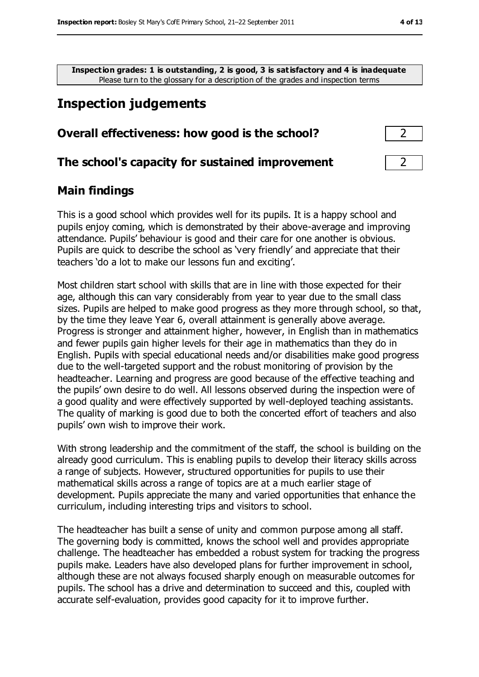**Inspection grades: 1 is outstanding, 2 is good, 3 is satisfactory and 4 is inadequate** Please turn to the glossary for a description of the grades and inspection terms

# **Inspection judgements**

#### **Overall effectiveness: how good is the school?** 2

#### **The school's capacity for sustained improvement** 2

#### **Main findings**

This is a good school which provides well for its pupils. It is a happy school and pupils enjoy coming, which is demonstrated by their above-average and improving attendance. Pupils' behaviour is good and their care for one another is obvious. Pupils are quick to describe the school as 'very friendly' and appreciate that their teachers 'do a lot to make our lessons fun and exciting'.

Most children start school with skills that are in line with those expected for their age, although this can vary considerably from year to year due to the small class sizes. Pupils are helped to make good progress as they more through school, so that, by the time they leave Year 6, overall attainment is generally above average. Progress is stronger and attainment higher, however, in English than in mathematics and fewer pupils gain higher levels for their age in mathematics than they do in English. Pupils with special educational needs and/or disabilities make good progress due to the well-targeted support and the robust monitoring of provision by the headteacher. Learning and progress are good because of the effective teaching and the pupils' own desire to do well. All lessons observed during the inspection were of a good quality and were effectively supported by well-deployed teaching assistants. The quality of marking is good due to both the concerted effort of teachers and also pupils' own wish to improve their work.

With strong leadership and the commitment of the staff, the school is building on the already good curriculum. This is enabling pupils to develop their literacy skills across a range of subjects. However, structured opportunities for pupils to use their mathematical skills across a range of topics are at a much earlier stage of development. Pupils appreciate the many and varied opportunities that enhance the curriculum, including interesting trips and visitors to school.

The headteacher has built a sense of unity and common purpose among all staff. The governing body is committed, knows the school well and provides appropriate challenge. The headteacher has embedded a robust system for tracking the progress pupils make. Leaders have also developed plans for further improvement in school, although these are not always focused sharply enough on measurable outcomes for pupils. The school has a drive and determination to succeed and this, coupled with accurate self-evaluation, provides good capacity for it to improve further.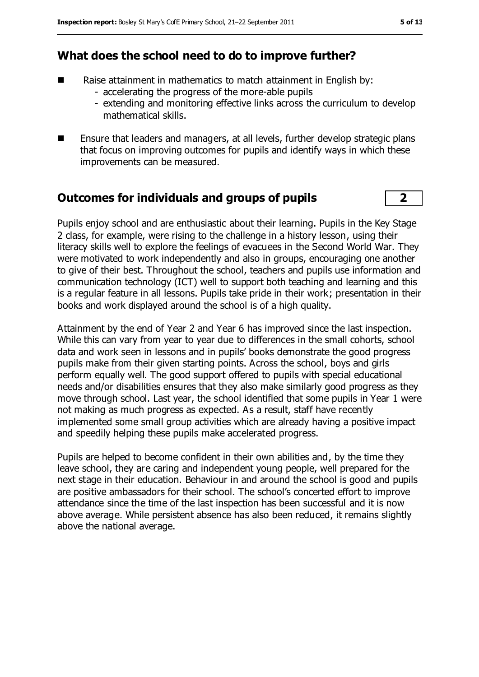## **What does the school need to do to improve further?**

- Raise attainment in mathematics to match attainment in English by:
	- accelerating the progress of the more-able pupils
	- extending and monitoring effective links across the curriculum to develop mathematical skills.
- Ensure that leaders and managers, at all levels, further develop strategic plans that focus on improving outcomes for pupils and identify ways in which these improvements can be measured.

### **Outcomes for individuals and groups of pupils 2**

Pupils enjoy school and are enthusiastic about their learning. Pupils in the Key Stage 2 class, for example, were rising to the challenge in a history lesson, using their literacy skills well to explore the feelings of evacuees in the Second World War. They were motivated to work independently and also in groups, encouraging one another to give of their best. Throughout the school, teachers and pupils use information and communication technology (ICT) well to support both teaching and learning and this is a regular feature in all lessons. Pupils take pride in their work; presentation in their books and work displayed around the school is of a high quality.

Attainment by the end of Year 2 and Year 6 has improved since the last inspection. While this can vary from year to year due to differences in the small cohorts, school data and work seen in lessons and in pupils' books demonstrate the good progress pupils make from their given starting points. Across the school, boys and girls perform equally well. The good support offered to pupils with special educational needs and/or disabilities ensures that they also make similarly good progress as they move through school. Last year, the school identified that some pupils in Year 1 were not making as much progress as expected. As a result, staff have recently implemented some small group activities which are already having a positive impact and speedily helping these pupils make accelerated progress.

Pupils are helped to become confident in their own abilities and, by the time they leave school, they are caring and independent young people, well prepared for the next stage in their education. Behaviour in and around the school is good and pupils are positive ambassadors for their school. The school's concerted effort to improve attendance since the time of the last inspection has been successful and it is now above average. While persistent absence has also been reduced, it remains slightly above the national average.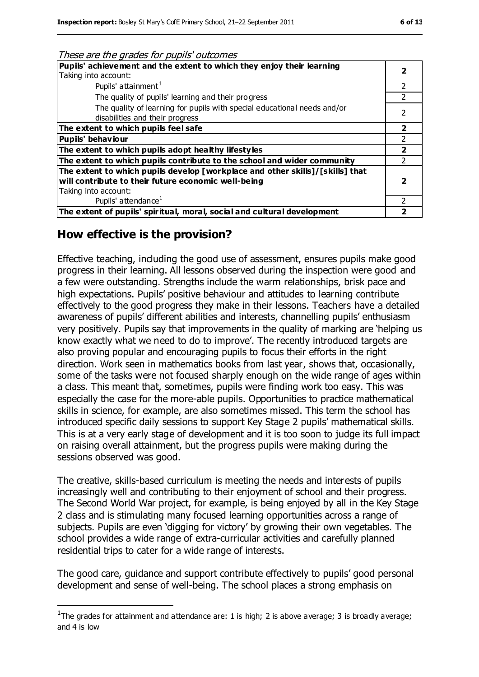These are the grades for pupils' outcomes

| Pupils' achievement and the extent to which they enjoy their learning<br>Taking into account:<br>Pupils' attainment <sup>1</sup><br>The quality of pupils' learning and their progress<br>The quality of learning for pupils with special educational needs and/or<br>disabilities and their progress<br>The extent to which pupils feel safe<br>Pupils' behaviour<br>The extent to which pupils adopt healthy lifestyles |   |
|---------------------------------------------------------------------------------------------------------------------------------------------------------------------------------------------------------------------------------------------------------------------------------------------------------------------------------------------------------------------------------------------------------------------------|---|
|                                                                                                                                                                                                                                                                                                                                                                                                                           |   |
|                                                                                                                                                                                                                                                                                                                                                                                                                           |   |
|                                                                                                                                                                                                                                                                                                                                                                                                                           |   |
|                                                                                                                                                                                                                                                                                                                                                                                                                           |   |
|                                                                                                                                                                                                                                                                                                                                                                                                                           |   |
|                                                                                                                                                                                                                                                                                                                                                                                                                           | 2 |
|                                                                                                                                                                                                                                                                                                                                                                                                                           |   |
|                                                                                                                                                                                                                                                                                                                                                                                                                           |   |
| The extent to which pupils contribute to the school and wider community                                                                                                                                                                                                                                                                                                                                                   |   |
| The extent to which pupils develop [workplace and other skills]/[skills] that                                                                                                                                                                                                                                                                                                                                             |   |
| will contribute to their future economic well-being                                                                                                                                                                                                                                                                                                                                                                       |   |
| Taking into account:                                                                                                                                                                                                                                                                                                                                                                                                      |   |
| Pupils' attendance <sup>1</sup>                                                                                                                                                                                                                                                                                                                                                                                           |   |
| The extent of pupils' spiritual, moral, social and cultural development                                                                                                                                                                                                                                                                                                                                                   |   |

# **How effective is the provision?**

 $\overline{a}$ 

Effective teaching, including the good use of assessment, ensures pupils make good progress in their learning. All lessons observed during the inspection were good and a few were outstanding. Strengths include the warm relationships, brisk pace and high expectations. Pupils' positive behaviour and attitudes to learning contribute effectively to the good progress they make in their lessons. Teachers have a detailed awareness of pupils' different abilities and interests, channelling pupils' enthusiasm very positively. Pupils say that improvements in the quality of marking are 'helping us know exactly what we need to do to improve'. The recently introduced targets are also proving popular and encouraging pupils to focus their efforts in the right direction. Work seen in mathematics books from last year, shows that, occasionally, some of the tasks were not focused sharply enough on the wide range of ages within a class. This meant that, sometimes, pupils were finding work too easy. This was especially the case for the more-able pupils. Opportunities to practice mathematical skills in science, for example, are also sometimes missed. This term the school has introduced specific daily sessions to support Key Stage 2 pupils' mathematical skills. This is at a very early stage of development and it is too soon to judge its full impact on raising overall attainment, but the progress pupils were making during the sessions observed was good.

The creative, skills-based curriculum is meeting the needs and interests of pupils increasingly well and contributing to their enjoyment of school and their progress. The Second World War project, for example, is being enjoyed by all in the Key Stage 2 class and is stimulating many focused learning opportunities across a range of subjects. Pupils are even 'digging for victory' by growing their own vegetables. The school provides a wide range of extra-curricular activities and carefully planned residential trips to cater for a wide range of interests.

The good care, guidance and support contribute effectively to pupils' good personal development and sense of well-being. The school places a strong emphasis on

<sup>&</sup>lt;sup>1</sup>The grades for attainment and attendance are: 1 is high; 2 is above average; 3 is broadly average; and 4 is low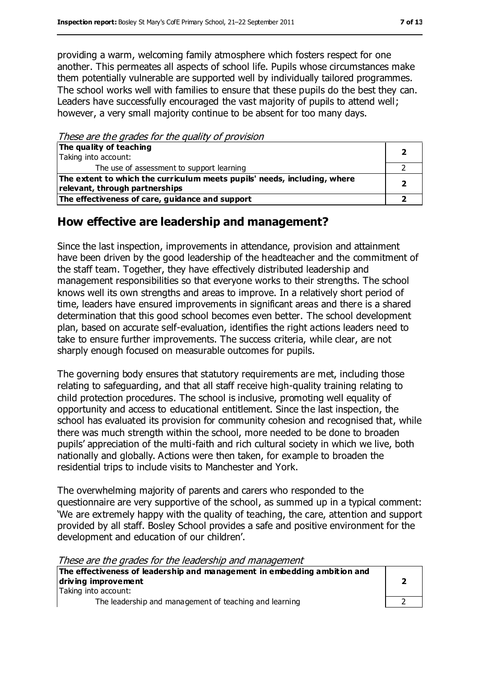providing a warm, welcoming family atmosphere which fosters respect for one another. This permeates all aspects of school life. Pupils whose circumstances make them potentially vulnerable are supported well by individually tailored programmes. The school works well with families to ensure that these pupils do the best they can. Leaders have successfully encouraged the vast majority of pupils to attend well; however, a very small majority continue to be absent for too many days.

These are the grades for the quality of provision

| The quality of teaching                                                  |  |
|--------------------------------------------------------------------------|--|
| Taking into account:                                                     |  |
| The use of assessment to support learning                                |  |
| The extent to which the curriculum meets pupils' needs, including, where |  |
| relevant, through partnerships                                           |  |
| The effectiveness of care, guidance and support                          |  |

## **How effective are leadership and management?**

Since the last inspection, improvements in attendance, provision and attainment have been driven by the good leadership of the headteacher and the commitment of the staff team. Together, they have effectively distributed leadership and management responsibilities so that everyone works to their strengths. The school knows well its own strengths and areas to improve. In a relatively short period of time, leaders have ensured improvements in significant areas and there is a shared determination that this good school becomes even better. The school development plan, based on accurate self-evaluation, identifies the right actions leaders need to take to ensure further improvements. The success criteria, while clear, are not sharply enough focused on measurable outcomes for pupils.

The governing body ensures that statutory requirements are met, including those relating to safeguarding, and that all staff receive high-quality training relating to child protection procedures. The school is inclusive, promoting well equality of opportunity and access to educational entitlement. Since the last inspection, the school has evaluated its provision for community cohesion and recognised that, while there was much strength within the school, more needed to be done to broaden pupils' appreciation of the multi-faith and rich cultural society in which we live, both nationally and globally. Actions were then taken, for example to broaden the residential trips to include visits to Manchester and York.

The overwhelming majority of parents and carers who responded to the questionnaire are very supportive of the school, as summed up in a typical comment: 'We are extremely happy with the quality of teaching, the care, attention and support provided by all staff. Bosley School provides a safe and positive environment for the development and education of our children'.

These are the grades for the leadership and management

| The effectiveness of leadership and management in embedding ambition and |  |
|--------------------------------------------------------------------------|--|
| driving improvement                                                      |  |
| Taking into account:                                                     |  |
| The leadership and management of teaching and learning                   |  |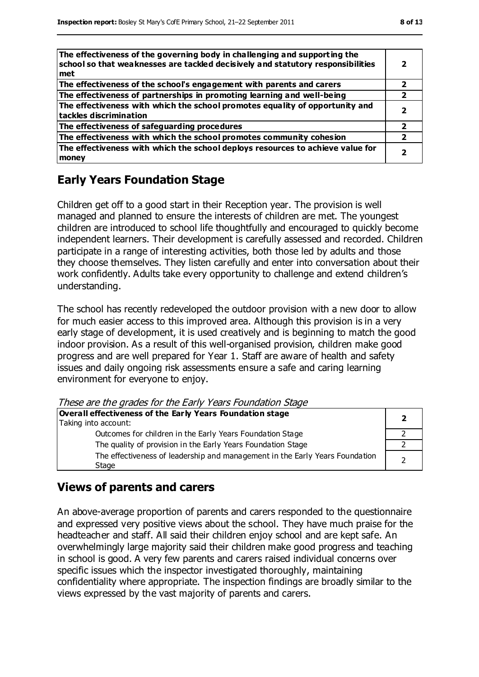| The effectiveness of the governing body in challenging and supporting the<br>school so that weaknesses are tackled decisively and statutory responsibilities<br>met |   |
|---------------------------------------------------------------------------------------------------------------------------------------------------------------------|---|
| The effectiveness of the school's engagement with parents and carers                                                                                                |   |
| The effectiveness of partnerships in promoting learning and well-being                                                                                              | 2 |
| The effectiveness with which the school promotes equality of opportunity and<br>tackles discrimination                                                              |   |
| The effectiveness of safeguarding procedures                                                                                                                        | 2 |
| The effectiveness with which the school promotes community cohesion                                                                                                 | 2 |
| The effectiveness with which the school deploys resources to achieve value for<br>money                                                                             |   |

### **Early Years Foundation Stage**

Children get off to a good start in their Reception year. The provision is well managed and planned to ensure the interests of children are met. The youngest children are introduced to school life thoughtfully and encouraged to quickly become independent learners. Their development is carefully assessed and recorded. Children participate in a range of interesting activities, both those led by adults and those they choose themselves. They listen carefully and enter into conversation about their work confidently. Adults take every opportunity to challenge and extend children's understanding.

The school has recently redeveloped the outdoor provision with a new door to allow for much easier access to this improved area. Although this provision is in a very early stage of development, it is used creatively and is beginning to match the good indoor provision. As a result of this well-organised provision, children make good progress and are well prepared for Year 1. Staff are aware of health and safety issues and daily ongoing risk assessments ensure a safe and caring learning environment for everyone to enjoy.

These are the grades for the Early Years Foundation Stage

| Overall effectiveness of the Early Years Foundation stage                             |  |
|---------------------------------------------------------------------------------------|--|
| Taking into account:                                                                  |  |
| Outcomes for children in the Early Years Foundation Stage                             |  |
| The quality of provision in the Early Years Foundation Stage                          |  |
| The effectiveness of leadership and management in the Early Years Foundation<br>Stage |  |

#### **Views of parents and carers**

An above-average proportion of parents and carers responded to the questionnaire and expressed very positive views about the school. They have much praise for the headteacher and staff. All said their children enjoy school and are kept safe. An overwhelmingly large majority said their children make good progress and teaching in school is good. A very few parents and carers raised individual concerns over specific issues which the inspector investigated thoroughly, maintaining confidentiality where appropriate. The inspection findings are broadly similar to the views expressed by the vast majority of parents and carers.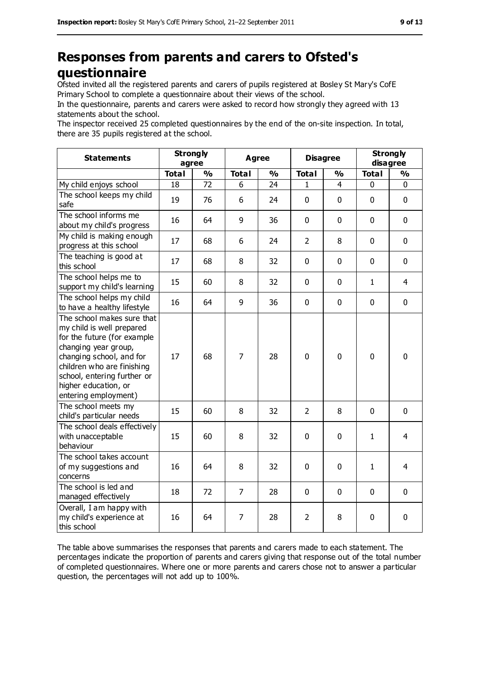# **Responses from parents and carers to Ofsted's questionnaire**

Ofsted invited all the registered parents and carers of pupils registered at Bosley St Mary's CofE Primary School to complete a questionnaire about their views of the school.

In the questionnaire, parents and carers were asked to record how strongly they agreed with 13 statements about the school.

The inspector received 25 completed questionnaires by the end of the on-site inspection. In total, there are 35 pupils registered at the school.

| <b>Statements</b>                                                                                                                                                                                                                                       | <b>Strongly</b><br>agree |               | Agree          |               | <b>Disagree</b> |                | <b>Strongly</b><br>disagree |                |
|---------------------------------------------------------------------------------------------------------------------------------------------------------------------------------------------------------------------------------------------------------|--------------------------|---------------|----------------|---------------|-----------------|----------------|-----------------------------|----------------|
|                                                                                                                                                                                                                                                         | <b>Total</b>             | $\frac{9}{0}$ | <b>Total</b>   | $\frac{0}{0}$ | <b>Total</b>    | $\frac{0}{0}$  | <b>Total</b>                | $\frac{0}{0}$  |
| My child enjoys school                                                                                                                                                                                                                                  | 18                       | 72            | 6              | 24            | $\mathbf{1}$    | $\overline{4}$ | $\mathbf 0$                 | 0              |
| The school keeps my child<br>safe                                                                                                                                                                                                                       | 19                       | 76            | 6              | 24            | 0               | $\mathbf 0$    | $\mathbf 0$                 | 0              |
| The school informs me<br>about my child's progress                                                                                                                                                                                                      | 16                       | 64            | 9              | 36            | 0               | $\mathbf 0$    | $\mathbf 0$                 | 0              |
| My child is making enough<br>progress at this school                                                                                                                                                                                                    | 17                       | 68            | 6              | 24            | $\overline{2}$  | 8              | $\mathbf 0$                 | 0              |
| The teaching is good at<br>this school                                                                                                                                                                                                                  | 17                       | 68            | 8              | 32            | 0               | $\mathbf 0$    | $\mathbf 0$                 | 0              |
| The school helps me to<br>support my child's learning                                                                                                                                                                                                   | 15                       | 60            | 8              | 32            | 0               | 0              | $\mathbf{1}$                | $\overline{4}$ |
| The school helps my child<br>to have a healthy lifestyle                                                                                                                                                                                                | 16                       | 64            | 9              | 36            | 0               | 0              | $\mathbf 0$                 | 0              |
| The school makes sure that<br>my child is well prepared<br>for the future (for example<br>changing year group,<br>changing school, and for<br>children who are finishing<br>school, entering further or<br>higher education, or<br>entering employment) | 17                       | 68            | $\overline{7}$ | 28            | $\mathbf 0$     | 0              | $\mathbf 0$                 | 0              |
| The school meets my<br>child's particular needs                                                                                                                                                                                                         | 15                       | 60            | 8              | 32            | $\overline{2}$  | 8              | $\mathbf{0}$                | 0              |
| The school deals effectively<br>with unacceptable<br>behaviour                                                                                                                                                                                          | 15                       | 60            | 8              | 32            | $\mathbf 0$     | $\mathbf 0$    | $\mathbf{1}$                | $\overline{4}$ |
| The school takes account<br>of my suggestions and<br>concerns                                                                                                                                                                                           | 16                       | 64            | 8              | 32            | 0               | $\mathbf 0$    | 1                           | 4              |
| The school is led and<br>managed effectively                                                                                                                                                                                                            | 18                       | 72            | $\overline{7}$ | 28            | $\mathbf 0$     | 0              | $\mathbf 0$                 | 0              |
| Overall, I am happy with<br>my child's experience at<br>this school                                                                                                                                                                                     | 16                       | 64            | 7              | 28            | $\overline{2}$  | 8              | $\mathbf 0$                 | $\mathbf 0$    |

The table above summarises the responses that parents and carers made to each statement. The percentages indicate the proportion of parents and carers giving that response out of the total number of completed questionnaires. Where one or more parents and carers chose not to answer a particular question, the percentages will not add up to 100%.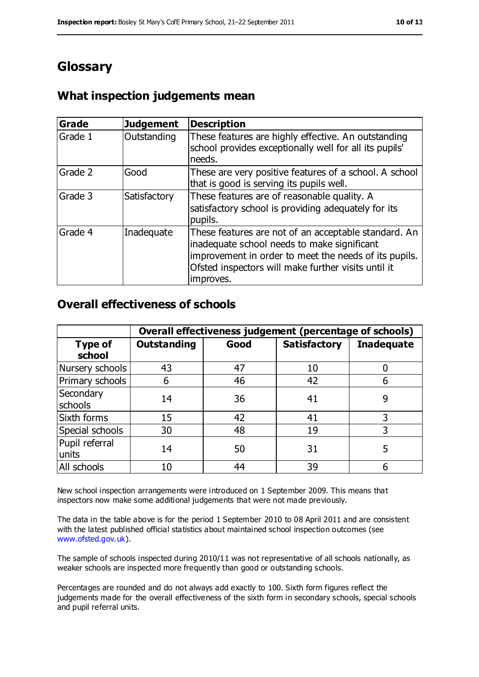# **Glossary**

## **What inspection judgements mean**

| <b>Grade</b> | <b>Judgement</b> | <b>Description</b>                                                                                                                                                                                                               |
|--------------|------------------|----------------------------------------------------------------------------------------------------------------------------------------------------------------------------------------------------------------------------------|
| Grade 1      | Outstanding      | These features are highly effective. An outstanding<br>school provides exceptionally well for all its pupils'<br>needs.                                                                                                          |
| Grade 2      | Good             | These are very positive features of a school. A school<br>that is good is serving its pupils well.                                                                                                                               |
| Grade 3      | Satisfactory     | These features are of reasonable quality. A<br>satisfactory school is providing adequately for its<br>pupils.                                                                                                                    |
| Grade 4      | Inadequate       | These features are not of an acceptable standard. An<br>inadequate school needs to make significant<br>improvement in order to meet the needs of its pupils.<br>Ofsted inspectors will make further visits until it<br>improves. |

#### **Overall effectiveness of schools**

|                          | Overall effectiveness judgement (percentage of schools) |      |                     |                   |
|--------------------------|---------------------------------------------------------|------|---------------------|-------------------|
| <b>Type of</b><br>school | <b>Outstanding</b>                                      | Good | <b>Satisfactory</b> | <b>Inadequate</b> |
| Nursery schools          | 43                                                      | 47   | 10                  |                   |
| Primary schools          | 6                                                       | 46   | 42                  |                   |
| Secondary<br>schools     | 14                                                      | 36   | 41                  | 9                 |
| Sixth forms              | 15                                                      | 42   | 41                  | 3                 |
| Special schools          | 30                                                      | 48   | 19                  |                   |
| Pupil referral<br>units  | 14                                                      | 50   | 31                  | 5                 |
| All schools              | 10                                                      | 44   | 39                  |                   |

New school inspection arrangements were introduced on 1 September 2009. This means that inspectors now make some additional judgements that were not made previously.

The data in the table above is for the period 1 September 2010 to 08 April 2011 and are consistent with the latest published official statistics about maintained school inspection outcomes (see [www.ofsted.gov.uk\)](http://www.ofsted.gov.uk/).

The sample of schools inspected during 2010/11 was not representative of all schools nationally, as weaker schools are inspected more frequently than good or outstanding schools.

Percentages are rounded and do not always add exactly to 100. Sixth form figures reflect the judgements made for the overall effectiveness of the sixth form in secondary schools, special schools and pupil referral units.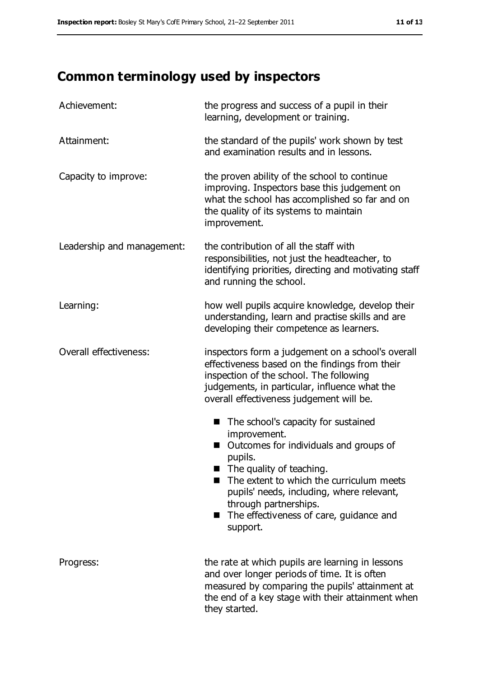# **Common terminology used by inspectors**

| Achievement:                  | the progress and success of a pupil in their<br>learning, development or training.                                                                                                                                                                                                                                                       |  |  |
|-------------------------------|------------------------------------------------------------------------------------------------------------------------------------------------------------------------------------------------------------------------------------------------------------------------------------------------------------------------------------------|--|--|
| Attainment:                   | the standard of the pupils' work shown by test<br>and examination results and in lessons.                                                                                                                                                                                                                                                |  |  |
| Capacity to improve:          | the proven ability of the school to continue<br>improving. Inspectors base this judgement on<br>what the school has accomplished so far and on<br>the quality of its systems to maintain<br>improvement.                                                                                                                                 |  |  |
| Leadership and management:    | the contribution of all the staff with<br>responsibilities, not just the headteacher, to<br>identifying priorities, directing and motivating staff<br>and running the school.                                                                                                                                                            |  |  |
| Learning:                     | how well pupils acquire knowledge, develop their<br>understanding, learn and practise skills and are<br>developing their competence as learners.                                                                                                                                                                                         |  |  |
| <b>Overall effectiveness:</b> | inspectors form a judgement on a school's overall<br>effectiveness based on the findings from their<br>inspection of the school. The following<br>judgements, in particular, influence what the<br>overall effectiveness judgement will be.                                                                                              |  |  |
|                               | The school's capacity for sustained<br>■<br>improvement.<br>Outcomes for individuals and groups of<br>■<br>pupils.<br>$\blacksquare$ The quality of teaching.<br>The extent to which the curriculum meets<br>pupils' needs, including, where relevant,<br>through partnerships.<br>■ The effectiveness of care, guidance and<br>support. |  |  |
| Progress:                     | the rate at which pupils are learning in lessons<br>and over longer periods of time. It is often<br>measured by comparing the pupils' attainment at<br>the end of a key stage with their attainment when<br>they started.                                                                                                                |  |  |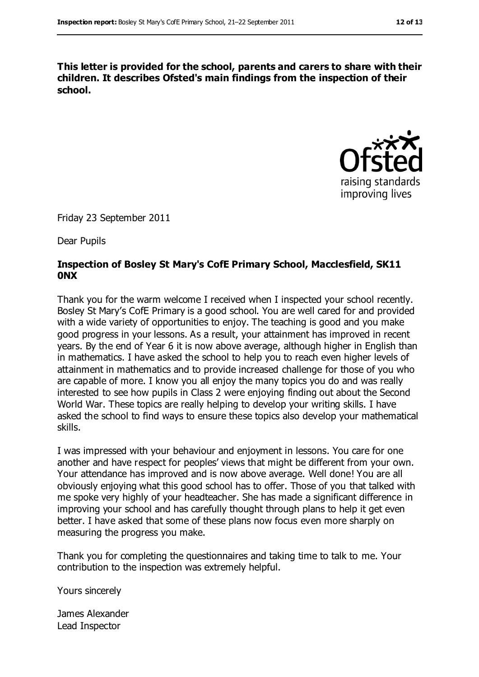**This letter is provided for the school, parents and carers to share with their children. It describes Ofsted's main findings from the inspection of their school.**



Friday 23 September 2011

Dear Pupils

#### **Inspection of Bosley St Mary's CofE Primary School, Macclesfield, SK11 0NX**

Thank you for the warm welcome I received when I inspected your school recently. Bosley St Mary's CofE Primary is a good school. You are well cared for and provided with a wide variety of opportunities to enjoy. The teaching is good and you make good progress in your lessons. As a result, your attainment has improved in recent years. By the end of Year 6 it is now above average, although higher in English than in mathematics. I have asked the school to help you to reach even higher levels of attainment in mathematics and to provide increased challenge for those of you who are capable of more. I know you all enjoy the many topics you do and was really interested to see how pupils in Class 2 were enjoying finding out about the Second World War. These topics are really helping to develop your writing skills. I have asked the school to find ways to ensure these topics also develop your mathematical skills.

I was impressed with your behaviour and enjoyment in lessons. You care for one another and have respect for peoples' views that might be different from your own. Your attendance has improved and is now above average. Well done! You are all obviously enjoying what this good school has to offer. Those of you that talked with me spoke very highly of your headteacher. She has made a significant difference in improving your school and has carefully thought through plans to help it get even better. I have asked that some of these plans now focus even more sharply on measuring the progress you make.

Thank you for completing the questionnaires and taking time to talk to me. Your contribution to the inspection was extremely helpful.

Yours sincerely

James Alexander Lead Inspector